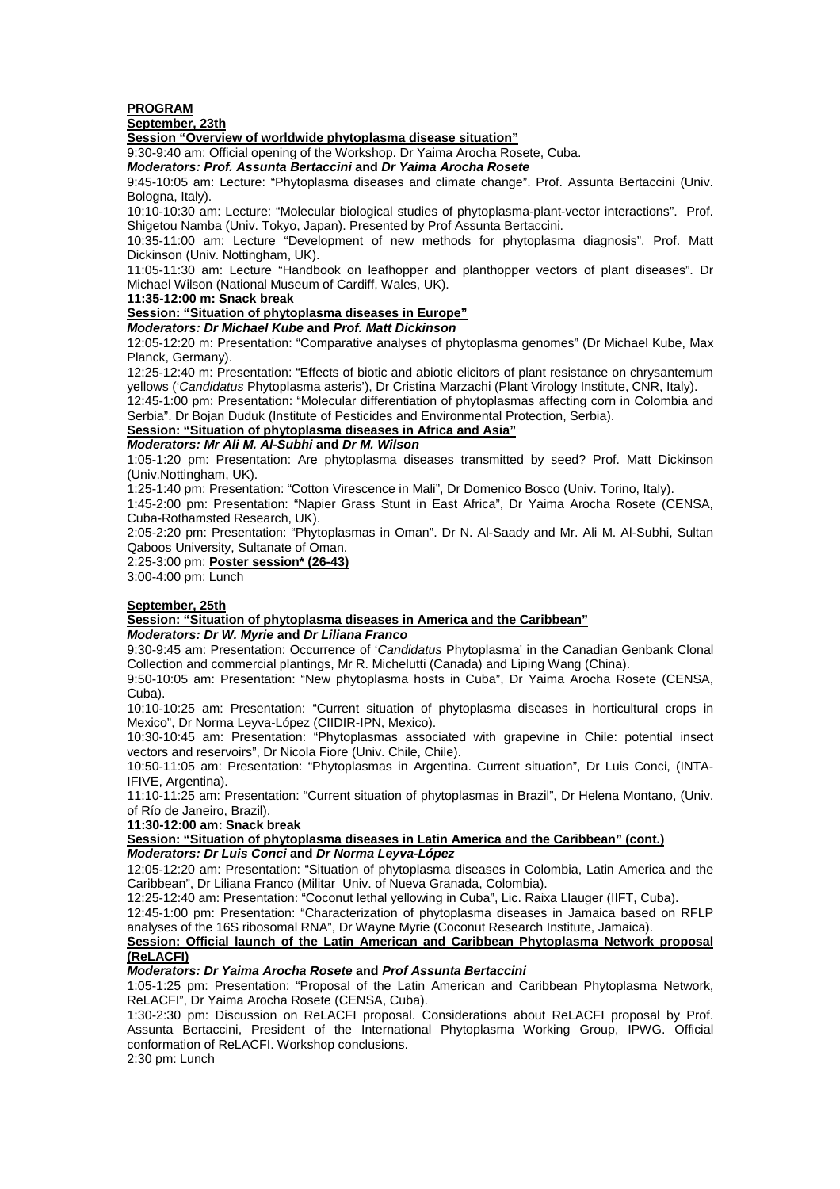# **PROGRAM**

## **September, 23th**

**Session "Overview of worldwide phytoplasma disease situation"**

9:30-9:40 am: Official opening of the Workshop. Dr Yaima Arocha Rosete, Cuba.

**Moderators: Prof. Assunta Bertaccini and Dr Yaima Arocha Rosete** 

9:45-10:05 am: Lecture: "Phytoplasma diseases and climate change". Prof. Assunta Bertaccini (Univ. Bologna, Italy).

10:10-10:30 am: Lecture: "Molecular biological studies of phytoplasma-plant-vector interactions". Prof. Shigetou Namba (Univ. Tokyo, Japan). Presented by Prof Assunta Bertaccini.

10:35-11:00 am: Lecture "Development of new methods for phytoplasma diagnosis". Prof. Matt Dickinson (Univ. Nottingham, UK).

11:05-11:30 am: Lecture "Handbook on leafhopper and planthopper vectors of plant diseases". Dr Michael Wilson (National Museum of Cardiff, Wales, UK).

**11:35-12:00 m: Snack break**

#### **Session: "Situation of phytoplasma diseases in Europe"**

**Moderators: Dr Michael Kube and Prof. Matt Dickinson** 

12:05-12:20 m: Presentation: "Comparative analyses of phytoplasma genomes" (Dr Michael Kube, Max Planck, Germany).

12:25-12:40 m: Presentation: "Effects of biotic and abiotic elicitors of plant resistance on chrysantemum yellows ('Candidatus Phytoplasma asteris'), Dr Cristina Marzachi (Plant Virology Institute, CNR, Italy).

12:45-1:00 pm: Presentation: "Molecular differentiation of phytoplasmas affecting corn in Colombia and Serbia". Dr Bojan Duduk (Institute of Pesticides and Environmental Protection, Serbia).

#### **Session: "Situation of phytoplasma diseases in Africa and Asia"**

# **Moderators: Mr Ali M. Al-Subhi and Dr M. Wilson**

1:05-1:20 pm: Presentation: Are phytoplasma diseases transmitted by seed? Prof. Matt Dickinson (Univ.Nottingham, UK).

1:25-1:40 pm: Presentation: "Cotton Virescence in Mali", Dr Domenico Bosco (Univ. Torino, Italy).

1:45-2:00 pm: Presentation: "Napier Grass Stunt in East Africa", Dr Yaima Arocha Rosete (CENSA, Cuba-Rothamsted Research, UK).

2:05-2:20 pm: Presentation: "Phytoplasmas in Oman". Dr N. Al-Saady and Mr. Ali M. Al-Subhi, Sultan Qaboos University, Sultanate of Oman.

#### 2:25-3:00 pm: **Poster session\* (26-43)**

3:00-4:00 pm: Lunch

#### **September, 25th**

#### **Session: "Situation of phytoplasma diseases in America and the Caribbean" Moderators: Dr W. Myrie and Dr Liliana Franco**

9:30-9:45 am: Presentation: Occurrence of 'Candidatus Phytoplasma' in the Canadian Genbank Clonal Collection and commercial plantings, Mr R. Michelutti (Canada) and Liping Wang (China).

9:50-10:05 am: Presentation: "New phytoplasma hosts in Cuba", Dr Yaima Arocha Rosete (CENSA, Cuba).

10:10-10:25 am: Presentation: "Current situation of phytoplasma diseases in horticultural crops in Mexico", Dr Norma Leyva-López (CIIDIR-IPN, Mexico).

10:30-10:45 am: Presentation: "Phytoplasmas associated with grapevine in Chile: potential insect vectors and reservoirs", Dr Nicola Fiore (Univ. Chile, Chile).

10:50-11:05 am: Presentation: "Phytoplasmas in Argentina. Current situation", Dr Luis Conci, (INTA-IFIVE, Argentina).

11:10-11:25 am: Presentation: "Current situation of phytoplasmas in Brazil", Dr Helena Montano, (Univ. of Río de Janeiro, Brazil).

**11:30-12:00 am: Snack break** 

#### **Session: "Situation of phytoplasma diseases in Latin America and the Caribbean" (cont.) Moderators: Dr Luis Conci and Dr Norma Leyva-López**

12:05-12:20 am: Presentation: "Situation of phytoplasma diseases in Colombia, Latin America and the Caribbean", Dr Liliana Franco (Militar Univ. of Nueva Granada, Colombia).

12:25-12:40 am: Presentation: "Coconut lethal yellowing in Cuba", Lic. Raixa Llauger (IIFT, Cuba).

12:45-1:00 pm: Presentation: "Characterization of phytoplasma diseases in Jamaica based on RFLP analyses of the 16S ribosomal RNA", Dr Wayne Myrie (Coconut Research Institute, Jamaica).

### **Session: Official launch of the Latin American and Caribbean Phytoplasma Network proposal (ReLACFI)**

### **Moderators: Dr Yaima Arocha Rosete and Prof Assunta Bertaccini**

1:05-1:25 pm: Presentation: "Proposal of the Latin American and Caribbean Phytoplasma Network, ReLACFI", Dr Yaima Arocha Rosete (CENSA, Cuba).

1:30-2:30 pm: Discussion on ReLACFI proposal. Considerations about ReLACFI proposal by Prof. Assunta Bertaccini, President of the International Phytoplasma Working Group, IPWG. Official conformation of ReLACFI. Workshop conclusions.

2:30 pm: Lunch